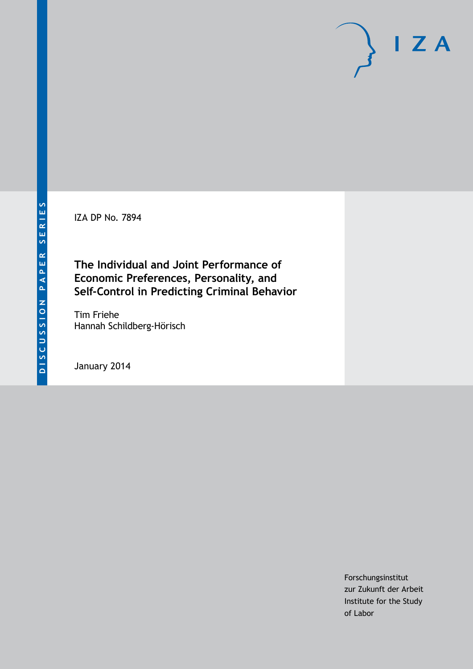IZA DP No. 7894

# **The Individual and Joint Performance of Economic Preferences, Personality, and Self-Control in Predicting Criminal Behavior**

Tim Friehe Hannah Schildberg-Hörisch

January 2014

Forschungsinstitut zur Zukunft der Arbeit Institute for the Study of Labor

 $I Z A$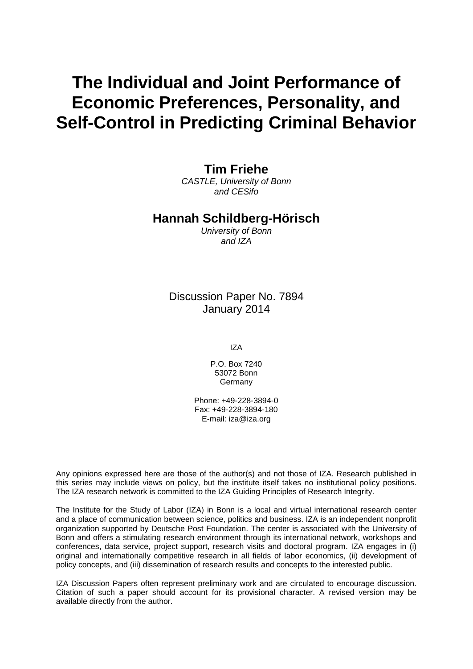# **The Individual and Joint Performance of Economic Preferences, Personality, and Self-Control in Predicting Criminal Behavior**

### **Tim Friehe**

*CASTLE, University of Bonn and CESifo*

### **Hannah Schildberg-Hörisch**

*University of Bonn and IZA*

Discussion Paper No. 7894 January 2014

IZA

P.O. Box 7240 53072 Bonn **Germany** 

Phone: +49-228-3894-0 Fax: +49-228-3894-180 E-mail: [iza@iza.org](mailto:iza@iza.org)

Any opinions expressed here are those of the author(s) and not those of IZA. Research published in this series may include views on policy, but the institute itself takes no institutional policy positions. The IZA research network is committed to the IZA Guiding Principles of Research Integrity.

The Institute for the Study of Labor (IZA) in Bonn is a local and virtual international research center and a place of communication between science, politics and business. IZA is an independent nonprofit organization supported by Deutsche Post Foundation. The center is associated with the University of Bonn and offers a stimulating research environment through its international network, workshops and conferences, data service, project support, research visits and doctoral program. IZA engages in (i) original and internationally competitive research in all fields of labor economics, (ii) development of policy concepts, and (iii) dissemination of research results and concepts to the interested public.

IZA Discussion Papers often represent preliminary work and are circulated to encourage discussion. Citation of such a paper should account for its provisional character. A revised version may be available directly from the author.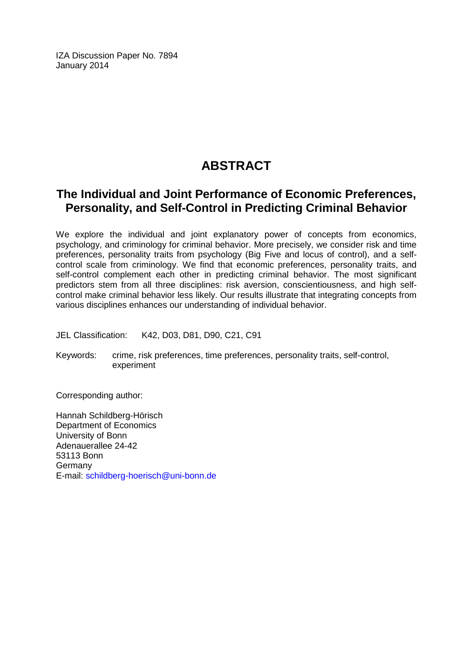IZA Discussion Paper No. 7894 January 2014

# **ABSTRACT**

## **The Individual and Joint Performance of Economic Preferences, Personality, and Self-Control in Predicting Criminal Behavior**

We explore the individual and joint explanatory power of concepts from economics, psychology, and criminology for criminal behavior. More precisely, we consider risk and time preferences, personality traits from psychology (Big Five and locus of control), and a selfcontrol scale from criminology. We find that economic preferences, personality traits, and self-control complement each other in predicting criminal behavior. The most significant predictors stem from all three disciplines: risk aversion, conscientiousness, and high selfcontrol make criminal behavior less likely. Our results illustrate that integrating concepts from various disciplines enhances our understanding of individual behavior.

JEL Classification: K42, D03, D81, D90, C21, C91

Keywords: crime, risk preferences, time preferences, personality traits, self-control, experiment

Corresponding author:

Hannah Schildberg-Hörisch Department of Economics University of Bonn Adenauerallee 24-42 53113 Bonn Germany E-mail: [schildberg-hoerisch@uni-bonn.de](mailto:schildberg-hoerisch@uni-bonn.de)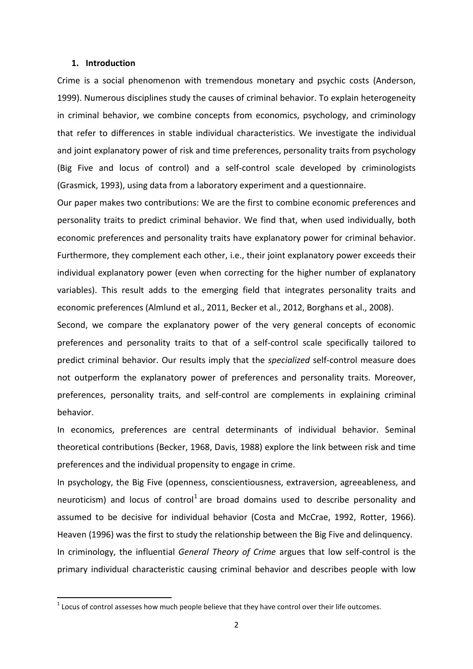#### **1. Introduction**

Crime is a social phenomenon with tremendous monetary and psychic costs (Anderson, 1999). Numerous disciplines study the causes of criminal behavior. To explain heterogeneity in criminal behavior, we combine concepts from economics, psychology, and criminology that refer to differences in stable individual characteristics. We investigate the individual and joint explanatory power of risk and time preferences, personality traits from psychology (Big Five and locus of control) and a self-control scale developed by criminologists (Grasmick, 1993), using data from a laboratory experiment and a questionnaire.

Our paper makes two contributions: We are the first to combine economic preferences and personality traits to predict criminal behavior. We find that, when used individually, both economic preferences and personality traits have explanatory power for criminal behavior. Furthermore, they complement each other, i.e., their joint explanatory power exceeds their individual explanatory power (even when correcting for the higher number of explanatory variables). This result adds to the emerging field that integrates personality traits and economic preferences (Almlund et al., 2011, Becker et al., 2012, Borghans et al., 2008).

Second, we compare the explanatory power of the very general concepts of economic preferences and personality traits to that of a self-control scale specifically tailored to predict criminal behavior. Our results imply that the *specialized* self-control measure does not outperform the explanatory power of preferences and personality traits. Moreover, preferences, personality traits, and self-control are complements in explaining criminal behavior.

In economics, preferences are central determinants of individual behavior. Seminal theoretical contributions (Becker, 1968, Davis, 1988) explore the link between risk and time preferences and the individual propensity to engage in crime.

In [psychology,](http://en.wikipedia.org/wiki/Psychology) the Big Five (openness, conscientiousness, extraversion, [agreeableness,](http://en.wikipedia.org/wiki/Agreeableness) and [neuroticism\)](http://en.wikipedia.org/wiki/Neuroticism) and locus of control<sup>1</sup> are broad domains used to describe personality and assumed to be decisive for individual behavior (Costa and McCrae, 1992, Rotter, 1966). Heaven (1996) was the first to study the relationship between the Big Five and delinquency. In criminology, the influential *General Theory of Crime* argues that low self-control is the primary individual characteristic causing criminal behavior and describes people with low

<span id="page-3-0"></span> $<sup>1</sup>$  Locus of control assesses how much people believe that they have control over their life outcomes.</sup>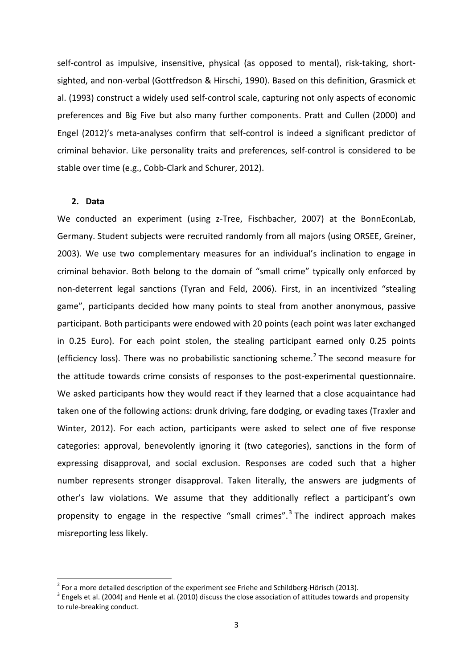self-control as impulsive, insensitive, physical (as opposed to mental), risk-taking, shortsighted, and non-verbal (Gottfredson & Hirschi, 1990). Based on this definition, Grasmick et al. (1993) construct a widely used self-control scale, capturing not only aspects of economic preferences and Big Five but also many further components. Pratt and Cullen (2000) and Engel (2012)'s meta-analyses confirm that self-control is indeed a significant predictor of criminal behavior. Like personality traits and preferences, self-control is considered to be stable over time (e.g., Cobb-Clark and Schurer, 2012).

#### **2. Data**

We conducted an experiment (using z-Tree, Fischbacher, 2007) at the BonnEconLab, Germany. Student subjects were recruited randomly from all majors (using ORSEE, Greiner, 2003). We use two complementary measures for an individual's inclination to engage in criminal behavior. Both belong to the domain of "small crime" typically only enforced by non-deterrent legal sanctions (Tyran and Feld, 2006). First, in an incentivized "stealing game", participants decided how many points to steal from another anonymous, passive participant. Both participants were endowed with 20 points (each point was later exchanged in 0.25 Euro). For each point stolen, the stealing participant earned only 0.25 points (efficiency loss). There was no probabilistic sanctioning scheme. [2](#page-3-0) The second measure for the attitude towards crime consists of responses to the post-experimental questionnaire. We asked participants how they would react if they learned that a close acquaintance had taken one of the following actions: drunk driving, fare dodging, or evading taxes (Traxler and Winter, 2012). For each action, participants were asked to select one of five response categories: approval, benevolently ignoring it (two categories), sanctions in the form of expressing disapproval, and social exclusion. Responses are coded such that a higher number represents stronger disapproval. Taken literally, the answers are judgments of other's law violations. We assume that they additionally reflect a participant's own propensity to engage in the respective "small crimes".<sup>[3](#page-4-0)</sup> The indirect approach makes misreporting less likely.

<span id="page-4-1"></span><span id="page-4-0"></span>

<sup>&</sup>lt;sup>2</sup> For a more detailed description of the experiment see Friehe and Schildberg-Hörisch (2013).<br><sup>3</sup> Engels et al. (2004) and Henle et al. (2010) discuss the close association of attitudes towards and propensity to rule-breaking conduct.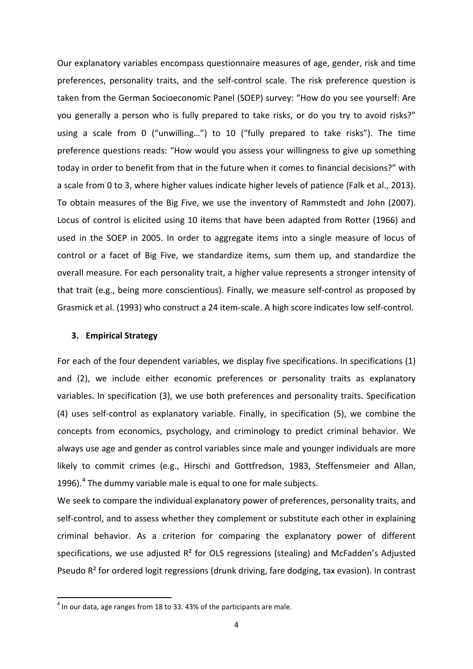Our explanatory variables encompass questionnaire measures of age, gender, risk and time preferences, personality traits, and the self-control scale. The risk preference question is taken from the German Socioeconomic Panel (SOEP) survey: "How do you see yourself: Are you generally a person who is fully prepared to take risks, or do you try to avoid risks?" using a scale from 0 ("unwilling…") to 10 ("fully prepared to take risks"). The time preference questions reads: "How would you assess your willingness to give up something today in order to benefit from that in the future when it comes to financial decisions?" with a scale from 0 to 3, where higher values indicate higher levels of patience (Falk et al., 2013). To obtain measures of the Big Five, we use the inventory of Rammstedt and John (2007). Locus of control is elicited using 10 items that have been adapted from Rotter (1966) and used in the SOEP in 2005. In order to aggregate items into a single measure of locus of control or a facet of Big Five, we standardize items, sum them up, and standardize the overall measure. For each personality trait, a higher value represents a stronger intensity of that trait (e.g., being more conscientious). Finally, we measure self-control as proposed by Grasmick et al. (1993) who construct a 24 item-scale. A high score indicates low self-control.

#### **3. Empirical Strategy**

For each of the four dependent variables, we display five specifications. In specifications (1) and (2), we include either economic preferences or personality traits as explanatory variables. In specification (3), we use both preferences and personality traits. Specification (4) uses self-control as explanatory variable. Finally, in specification (5), we combine the concepts from economics, psychology, and criminology to predict criminal behavior. We always use age and gender as control variables since male and younger individuals are more likely to commit crimes (e.g., Hirschi and Gottfredson, 1983, Steffensmeier and Allan, 1996). $4$  The dummy variable male is equal to one for male subjects.

We seek to compare the individual explanatory power of preferences, personality traits, and self-control, and to assess whether they complement or substitute each other in explaining criminal behavior. As a criterion for comparing the explanatory power of different specifications, we use adjusted  $R<sup>2</sup>$  for OLS regressions (stealing) and McFadden's Adjusted Pseudo R² for ordered logit regressions (drunk driving, fare dodging, tax evasion). In contrast

<span id="page-5-0"></span> $4$  In our data, age ranges from 18 to 33, 43% of the participants are male.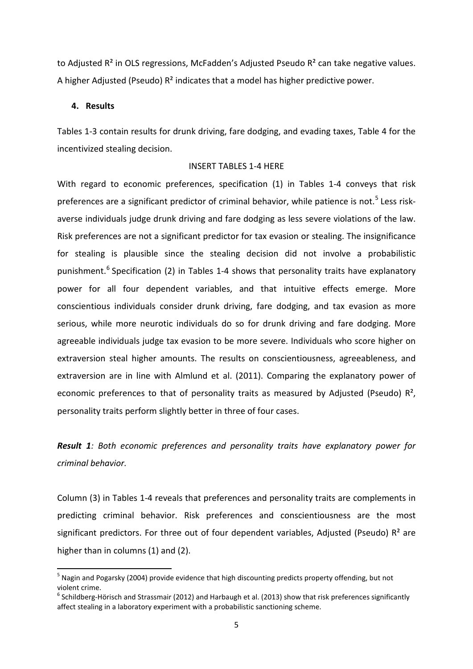to Adjusted  $R^2$  in OLS regressions, McFadden's Adjusted Pseudo  $R^2$  can take negative values. A higher Adjusted (Pseudo) R² indicates that a model has higher predictive power.

#### **4. Results**

Tables 1-3 contain results for drunk driving, fare dodging, and evading taxes, Table 4 for the incentivized stealing decision.

#### INSERT TABLES 1-4 HERE

With regard to economic preferences, specification (1) in Tables 1-4 conveys that risk preferences are a significant predictor of criminal behavior, while patience is not.<sup>[5](#page-5-0)</sup> Less riskaverse individuals judge drunk driving and fare dodging as less severe violations of the law. Risk preferences are not a significant predictor for tax evasion or stealing. The insignificance for stealing is plausible since the stealing decision did not involve a probabilistic punishment.<sup>[6](#page-6-0)</sup> Specification (2) in Tables 1-4 shows that personality traits have explanatory power for all four dependent variables, and that intuitive effects emerge. More conscientious individuals consider drunk driving, fare dodging, and tax evasion as more serious, while more neurotic individuals do so for drunk driving and fare dodging. More agreeable individuals judge tax evasion to be more severe. Individuals who score higher on extraversion steal higher amounts. The results on conscientiousness, agreeableness, and extraversion are in line with Almlund et al. (2011). Comparing the explanatory power of economic preferences to that of personality traits as measured by Adjusted (Pseudo)  $\mathbb{R}^2$ , personality traits perform slightly better in three of four cases.

*Result 1: Both economic preferences and personality traits have explanatory power for criminal behavior.*

Column (3) in Tables 1-4 reveals that preferences and personality traits are complements in predicting criminal behavior. Risk preferences and conscientiousness are the most significant predictors. For three out of four dependent variables, Adjusted (Pseudo)  $R^2$  are higher than in columns (1) and (2).

<sup>&</sup>lt;sup>5</sup> Nagin and Pogarsky (2004) provide evidence that high discounting predicts property offending, but not violent crime.

<span id="page-6-0"></span> $6$  Schildberg-Hörisch and Strassmair (2012) and Harbaugh et al. (2013) show that risk preferences significantly affect stealing in a laboratory experiment with a probabilistic sanctioning scheme.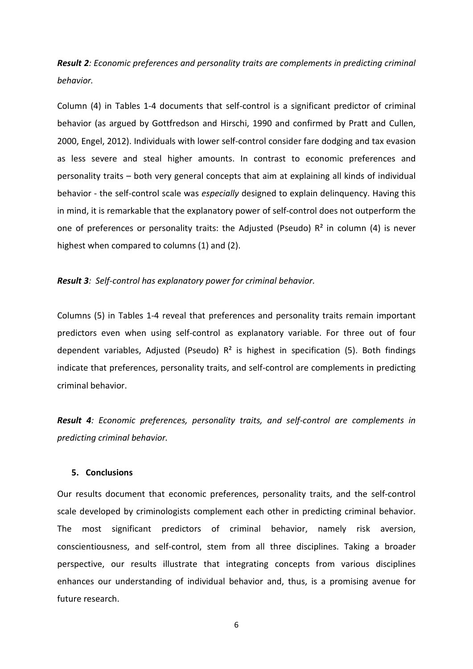*Result 2: Economic preferences and personality traits are complements in predicting criminal behavior.*

Column (4) in Tables 1-4 documents that self-control is a significant predictor of criminal behavior (as argued by Gottfredson and Hirschi, 1990 and confirmed by Pratt and Cullen, 2000, Engel, 2012). Individuals with lower self-control consider fare dodging and tax evasion as less severe and steal higher amounts. In contrast to economic preferences and personality traits – both very general concepts that aim at explaining all kinds of individual behavior - the self-control scale was *especially* designed to explain delinquency. Having this in mind, it is remarkable that the explanatory power of self-control does not outperform the one of preferences or personality traits: the Adjusted (Pseudo)  $R<sup>2</sup>$  in column (4) is never highest when compared to columns (1) and (2).

*Result 3: Self-control has explanatory power for criminal behavior.*

Columns (5) in Tables 1-4 reveal that preferences and personality traits remain important predictors even when using self-control as explanatory variable. For three out of four dependent variables, Adjusted (Pseudo)  $R^2$  is highest in specification (5). Both findings indicate that preferences, personality traits, and self-control are complements in predicting criminal behavior.

*Result 4: Economic preferences, personality traits, and self-control are complements in predicting criminal behavior.*

#### **5. Conclusions**

Our results document that economic preferences, personality traits, and the self-control scale developed by criminologists complement each other in predicting criminal behavior. The most significant predictors of criminal behavior, namely risk aversion, conscientiousness, and self-control, stem from all three disciplines. Taking a broader perspective, our results illustrate that integrating concepts from various disciplines enhances our understanding of individual behavior and, thus, is a promising avenue for future research.

6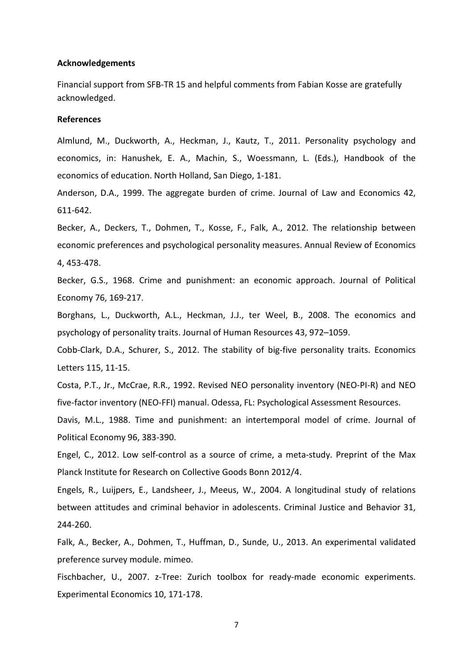#### **Acknowledgements**

Financial support from SFB-TR 15 and helpful comments from Fabian Kosse are gratefully acknowledged.

#### **References**

Almlund, M., Duckworth, A., Heckman, J., Kautz, T., 2011. Personality psychology and economics, in: Hanushek, E. A., Machin, S., Woessmann, L. (Eds.), Handbook of the economics of education. North Holland, San Diego, 1-181.

Anderson, D.A., 1999. The aggregate burden of crime. Journal of Law and Economics 42, 611-642.

Becker, A., Deckers, T., Dohmen, T., Kosse, F., Falk, A., 2012. The relationship between economic preferences and psychological personality measures. Annual Review of Economics 4, 453-478.

Becker, G.S., 1968. Crime and punishment: an economic approach. Journal of Political Economy 76, 169-217.

Borghans, L., Duckworth, A.L., Heckman, J.J., ter Weel, B., 2008. The economics and psychology of personality traits. Journal of Human Resources 43, 972–1059.

Cobb-Clark, D.A., Schurer, S., 2012. The stability of big-five personality traits. Economics Letters 115, 11-15.

Costa, P.T., Jr., McCrae, R.R., 1992. Revised NEO personality inventory (NEO-PI-R) and NEO five-factor inventory (NEO-FFI) manual. Odessa, FL: Psychological Assessment Resources.

Davis, M.L., 1988. Time and punishment: an intertemporal model of crime. Journal of Political Economy 96, 383-390.

Engel, C., 2012. Low self-control as a source of crime, a meta-study. Preprint of the Max Planck Institute for Research on Collective Goods Bonn 2012/4.

Engels, R., Luijpers, E., Landsheer, J., Meeus, W., 2004. A longitudinal study of relations between attitudes and criminal behavior in adolescents. Criminal Justice and Behavior 31, 244-260.

Falk, A., Becker, A., Dohmen, T., Huffman, D., Sunde, U., 2013. An experimental validated preference survey module. mimeo.

Fischbacher, U., 2007. z-Tree: Zurich toolbox for ready-made economic experiments. Experimental Economics 10, 171-178.

7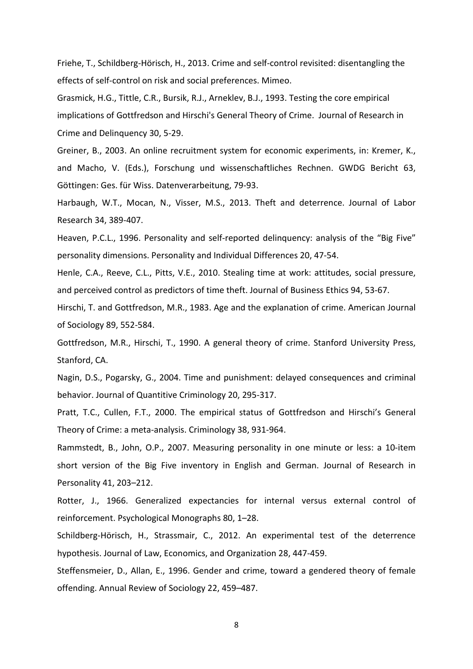Friehe, T., Schildberg-Hörisch, H., 2013. Crime and self-control revisited: disentangling the effects of self-control on risk and social preferences. Mimeo.

Grasmick, H.G., Tittle, C.R., Bursik, R.J., Arneklev, B.J., 1993. Testing the core empirical implications of Gottfredson and Hirschi's General Theory of Crime. Journal of Research in Crime and Delinquency 30, 5-29.

Greiner, B., 2003. An online recruitment system for economic experiments, in: Kremer, K., and Macho, V. (Eds.), Forschung und wissenschaftliches Rechnen. GWDG Bericht 63, Göttingen: Ges. für Wiss. Datenverarbeitung, 79-93.

Harbaugh, W.T., Mocan, N., Visser, M.S., 2013. Theft and deterrence. Journal of Labor Research 34, 389-407.

Heaven, P.C.L., 1996. Personality and self-reported delinquency: analysis of the "Big Five" personality dimensions. Personality and Individual Differences 20, 47-54.

Henle, C.A., Reeve, C.L., Pitts, V.E., 2010. Stealing time at work: attitudes, social pressure, and perceived control as predictors of time theft. Journal of Business Ethics 94, 53-67.

Hirschi, T. and Gottfredson, M.R., 1983. Age and the explanation of crime. American Journal of Sociology 89, 552-584.

Gottfredson, M.R., Hirschi, T., 1990. A general theory of crime. Stanford University Press, Stanford, CA.

Nagin, D.S., Pogarsky, G., 2004. Time and punishment: delayed consequences and criminal behavior. Journal of Quantitive Criminology 20, 295-317.

Pratt, T.C., Cullen, F.T., 2000. The empirical status of Gottfredson and Hirschi's General Theory of Crime: a meta-analysis. Criminology 38, 931-964.

Rammstedt, B., John, O.P., 2007. Measuring personality in one minute or less: a 10-item short version of the Big Five inventory in English and German. Journal of Research in Personality 41, 203–212.

Rotter, J., 1966. Generalized expectancies for internal versus external control of reinforcement. Psychological Monographs 80, 1–28.

Schildberg-Hörisch, H., Strassmair, C., 2012. An experimental test of the deterrence hypothesis. Journal of Law, Economics, and Organization 28, 447-459.

Steffensmeier, D., Allan, E., 1996. Gender and crime, toward a gendered theory of female offending. Annual Review of Sociology 22, 459–487.

8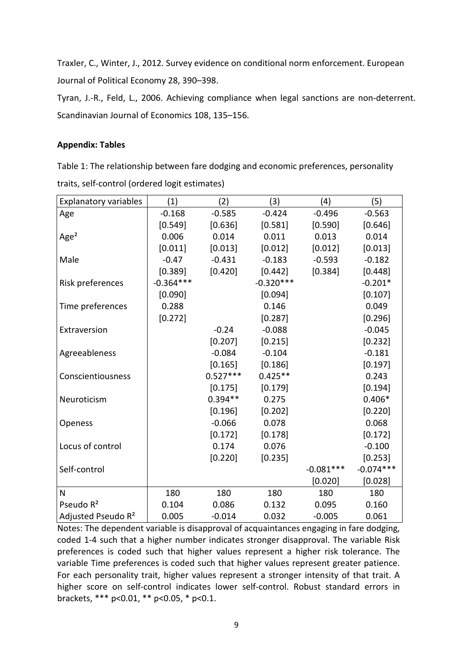Traxler, C., Winter, J., 2012. Survey evidence on conditional norm enforcement. European Journal of Political Economy 28, 390–398.

Tyran, J.-R., Feld, L., 2006. Achieving compliance when legal sanctions are non-deterrent. Scandinavian Journal of Economics 108, 135–156.

### **Appendix: Tables**

Table 1: The relationship between fare dodging and economic preferences, personality traits, self-control (ordered logit estimates)

| <b>Explanatory variables</b>   | (1)         | (2)        | (3)         | (4)         | (5)         |
|--------------------------------|-------------|------------|-------------|-------------|-------------|
| Age                            | $-0.168$    | $-0.585$   | $-0.424$    | $-0.496$    | $-0.563$    |
|                                | [0.549]     | [0.636]    | [0.581]     | [0.590]     | [0.646]     |
| Age <sup>2</sup>               | 0.006       | 0.014      | 0.011       | 0.013       | 0.014       |
|                                | [0.011]     | [0.013]    | [0.012]     | [0.012]     | [0.013]     |
| Male                           | $-0.47$     | $-0.431$   | $-0.183$    | $-0.593$    | $-0.182$    |
|                                | [0.389]     | [0.420]    | [0.442]     | [0.384]     | [0.448]     |
| Risk preferences               | $-0.364***$ |            | $-0.320***$ |             | $-0.201*$   |
|                                | [0.090]     |            | [0.094]     |             | [0.107]     |
| Time preferences               | 0.288       |            | 0.146       |             | 0.049       |
|                                | [0.272]     |            | [0.287]     |             | [0.296]     |
| Extraversion                   |             | $-0.24$    | $-0.088$    |             | $-0.045$    |
|                                |             | [0.207]    | [0.215]     |             | [0.232]     |
| Agreeableness                  |             | $-0.084$   | $-0.104$    |             | $-0.181$    |
|                                |             | [0.165]    | [0.186]     |             | [0.197]     |
| Conscientiousness              |             | $0.527***$ | $0.425**$   |             | 0.243       |
|                                |             | [0.175]    | [0.179]     |             | [0.194]     |
| Neuroticism                    |             | $0.394**$  | 0.275       |             | $0.406*$    |
|                                |             | [0.196]    | [0.202]     |             | [0.220]     |
| Openess                        |             | $-0.066$   | 0.078       |             | 0.068       |
|                                |             | [0.172]    | [0.178]     |             | [0.172]     |
| Locus of control               |             | 0.174      | 0.076       |             | $-0.100$    |
|                                |             | [0.220]    | [0.235]     |             | [0.253]     |
| Self-control                   |             |            |             | $-0.081***$ | $-0.074***$ |
|                                |             |            |             | [0.020]     | [0.028]     |
| N                              | 180         | 180        | 180         | 180         | 180         |
| Pseudo R <sup>2</sup>          | 0.104       | 0.086      | 0.132       | 0.095       | 0.160       |
| Adjusted Pseudo R <sup>2</sup> | 0.005       | $-0.014$   | 0.032       | $-0.005$    | 0.061       |

Notes: The dependent variable is disapproval of acquaintances engaging in fare dodging, coded 1-4 such that a higher number indicates stronger disapproval. The variable Risk preferences is coded such that higher values represent a higher risk tolerance. The variable Time preferences is coded such that higher values represent greater patience. For each personality trait, higher values represent a stronger intensity of that trait. A higher score on self-control indicates lower self-control. Robust standard errors in brackets, \*\*\* p<0.01, \*\* p<0.05, \* p<0.1.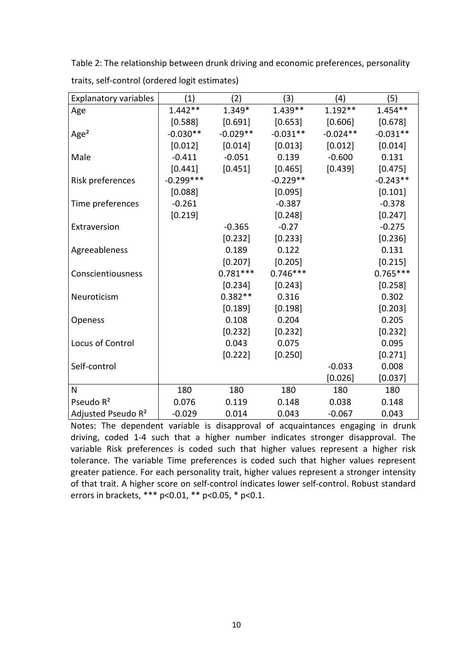Table 2: The relationship between drunk driving and economic preferences, personality traits, self-control (ordered logit estimates)

| <b>Explanatory variables</b>   | (1)         | (2)        | (3)        | (4)        | (5)        |
|--------------------------------|-------------|------------|------------|------------|------------|
| Age                            | $1.442**$   | 1.349*     | $1.439**$  | $1.192**$  | $1.454**$  |
|                                | [0.588]     | [0.691]    | [0.653]    | [0.606]    | [0.678]    |
| Age <sup>2</sup>               | $-0.030**$  | $-0.029**$ | $-0.031**$ | $-0.024**$ | $-0.031**$ |
|                                | [0.012]     | [0.014]    | [0.013]    | [0.012]    | [0.014]    |
| Male                           | $-0.411$    | $-0.051$   | 0.139      | $-0.600$   | 0.131      |
|                                | [0.441]     | [0.451]    | [0.465]    | [0.439]    | [0.475]    |
| Risk preferences               | $-0.299***$ |            | $-0.229**$ |            | $-0.243**$ |
|                                | [0.088]     |            | [0.095]    |            | [0.101]    |
| Time preferences               | $-0.261$    |            | $-0.387$   |            | $-0.378$   |
|                                | [0.219]     |            | [0.248]    |            | [0.247]    |
| Extraversion                   |             | $-0.365$   | $-0.27$    |            | $-0.275$   |
|                                |             | [0.232]    | [0.233]    |            | [0.236]    |
| Agreeableness                  |             | 0.189      | 0.122      |            | 0.131      |
|                                |             | [0.207]    | [0.205]    |            | [0.215]    |
| Conscientiousness              |             | $0.781***$ | $0.746***$ |            | $0.765***$ |
|                                |             | [0.234]    | [0.243]    |            | [0.258]    |
| Neuroticism                    |             | $0.382**$  | 0.316      |            | 0.302      |
|                                |             | [0.189]    | [0.198]    |            | [0.203]    |
| Openess                        |             | 0.108      | 0.204      |            | 0.205      |
|                                |             | [0.232]    | [0.232]    |            | [0.232]    |
| Locus of Control               |             | 0.043      | 0.075      |            | 0.095      |
|                                |             | [0.222]    | [0.250]    |            | [0.271]    |
| Self-control                   |             |            |            | $-0.033$   | 0.008      |
|                                |             |            |            | [0.026]    | [0.037]    |
| N                              | 180         | 180        | 180        | 180        | 180        |
| Pseudo R <sup>2</sup>          | 0.076       | 0.119      | 0.148      | 0.038      | 0.148      |
| Adjusted Pseudo R <sup>2</sup> | $-0.029$    | 0.014      | 0.043      | $-0.067$   | 0.043      |

Notes: The dependent variable is disapproval of acquaintances engaging in drunk driving, coded 1-4 such that a higher number indicates stronger disapproval. The variable Risk preferences is coded such that higher values represent a higher risk tolerance. The variable Time preferences is coded such that higher values represent greater patience. For each personality trait, higher values represent a stronger intensity of that trait. A higher score on self-control indicates lower self-control. Robust standard errors in brackets, \*\*\* p<0.01, \*\* p<0.05, \* p<0.1.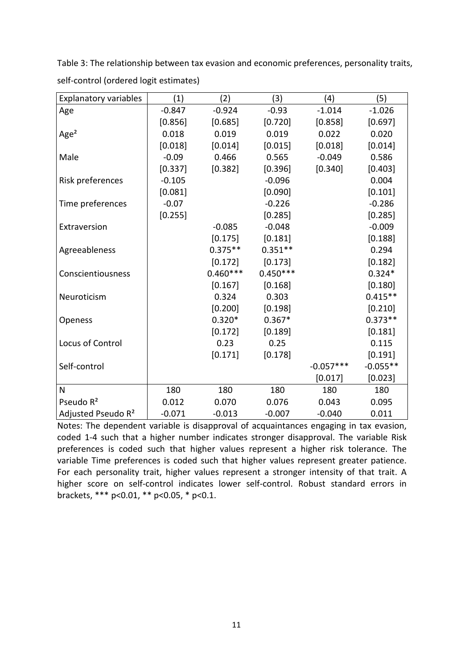Explanatory variables  $(1)$   $(2)$   $(3)$   $(4)$   $(5)$ Age -0.847 -0.924 -0.93 -1.014 -1.026  $[0.856]$   $[0.685]$   $[0.720]$   $[0.858]$   $[0.697]$ Age² 0.018 0.019 0.019 0.022 0.020 [0.018] [0.014] [0.015] [0.018] [0.014] Male -0.09 0.466 0.565 -0.049 0.586  $[0.337]$   $[0.382]$   $[0.396]$   $[0.340]$   $[0.403]$ Risk preferences  $\vert$  -0.105 -0.096 -0.096 0.004  $[0.081]$   $[0.090]$   $[0.101]$ Time preferences  $\vert$  -0.07 -0.226 -0.286  $[0.255]$   $[0.285]$   $[0.285]$ Extraversion -0.085 -0.048 -0.009  $[0.175]$   $[0.181]$   $[0.188]$ Agreeableness 1.0.375 \*\* 0.351 \*\* 0.351 0.294  $[0.172]$   $[0.173]$   $[0.182]$ Conscientiousness 0.460\*\*\* 0.450\*\*\* 0.324\*  $[0.167]$   $[0.168]$   $[0.180]$ Neuroticism 0.324 0.303 0.415\*\*  $[0.200]$   $[0.198]$   $[0.210]$ Openess 0.320\* 0.367\* 0.373\*\*  $[0.172]$   $[0.189]$   $[0.181]$ Locus of Control 0.23 0.25 0.115  $[0.171]$   $[0.178]$   $[0.191]$ Self-control  $\vert$  -0.057\*\*\* -0.055\*\*  $[0.017]$   $[0.023]$ N 180 180 180 180 180 180 Pseudo R<sup>2</sup> 1 0.012 0.070 0.076 0.043 0.095 Adjusted Pseudo R<sup>2</sup>  $\vert$  -0.071 -0.013 -0.007 -0.040 0.011

Table 3: The relationship between tax evasion and economic preferences, personality traits, self-control (ordered logit estimates)

Notes: The dependent variable is disapproval of acquaintances engaging in tax evasion, coded 1-4 such that a higher number indicates stronger disapproval. The variable Risk preferences is coded such that higher values represent a higher risk tolerance. The variable Time preferences is coded such that higher values represent greater patience. For each personality trait, higher values represent a stronger intensity of that trait. A higher score on self-control indicates lower self-control. Robust standard errors in brackets, \*\*\* p<0.01, \*\* p<0.05, \* p<0.1.